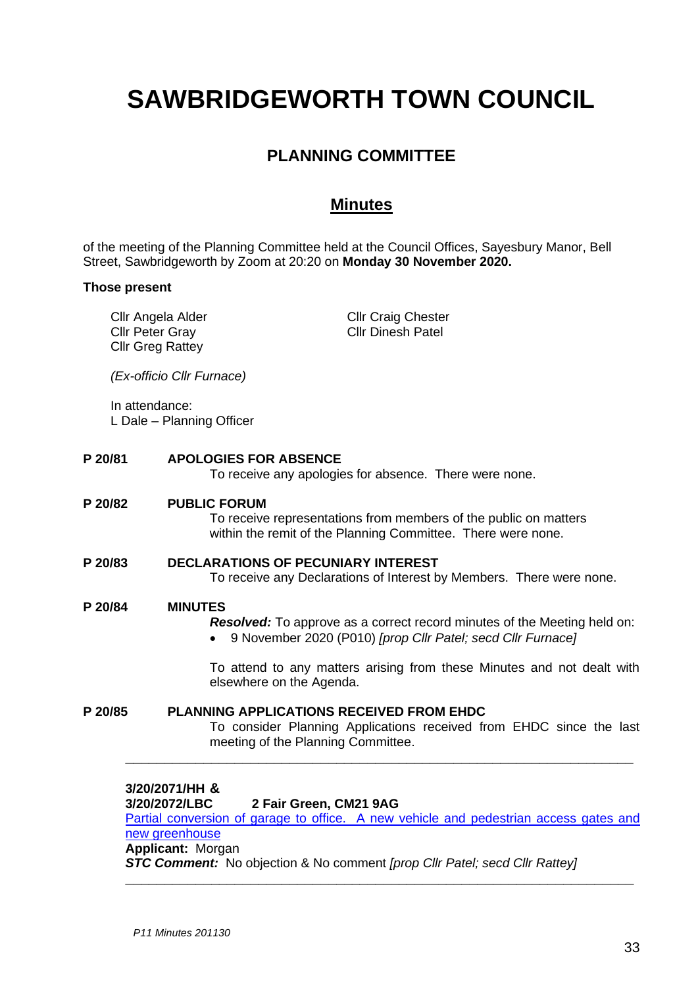# **SAWBRIDGEWORTH TOWN COUNCIL**

# **PLANNING COMMITTEE**

## **Minutes**

of the meeting of the Planning Committee held at the Council Offices, Sayesbury Manor, Bell Street, Sawbridgeworth by Zoom at 20:20 on **Monday 30 November 2020.**

### **Those present**

Cllr Angela Alder Cllr Peter Gray Cllr Greg Rattey Cllr Craig Chester Cllr Dinesh Patel *(Ex-officio Cllr Furnace)* In attendance: L Dale – Planning Officer **P 20/81 APOLOGIES FOR ABSENCE** To receive any apologies for absence. There were none. **P 20/82 PUBLIC FORUM** To receive representations from members of the public on matters within the remit of the Planning Committee. There were none. **P 20/83 DECLARATIONS OF PECUNIARY INTEREST** To receive any Declarations of Interest by Members. There were none. **P 20/84 MINUTES** *Resolved:* To approve as a correct record minutes of the Meeting held on: • 9 November 2020 (P010) *[prop Cllr Patel; secd Cllr Furnace]* To attend to any matters arising from these Minutes and not dealt with elsewhere on the Agenda. **P 20/85 PLANNING APPLICATIONS RECEIVED FROM EHDC** To consider Planning Applications received from EHDC since the last meeting of the Planning Committee. **\_\_\_\_\_\_\_\_\_\_\_\_\_\_\_\_\_\_\_\_\_\_\_\_\_\_\_\_\_\_\_\_\_\_\_\_\_\_\_\_\_\_\_\_\_\_\_\_\_\_\_\_\_\_\_\_\_\_\_\_\_\_\_\_\_**

**3/20/2071/HH & 3/20/2072/LBC 2 Fair Green, CM21 9AG** [Partial conversion of garage to office. A new vehicle and pedestrian access gates and](https://publicaccess.eastherts.gov.uk/online-applications/applicationDetails.do?activeTab=documents&keyVal=QILCUVGLJ2Z00)  [new greenhouse](https://publicaccess.eastherts.gov.uk/online-applications/applicationDetails.do?activeTab=documents&keyVal=QILCUVGLJ2Z00) **Applicant:** Morgan *STC Comment:* No objection & No comment *[prop Cllr Patel; secd Cllr Rattey]*

**\_\_\_\_\_\_\_\_\_\_\_\_\_\_\_\_\_\_\_\_\_\_\_\_\_\_\_\_\_\_\_\_\_\_\_\_\_\_\_\_\_\_\_\_\_\_\_\_\_\_\_\_\_\_\_\_\_\_\_\_\_\_\_\_\_**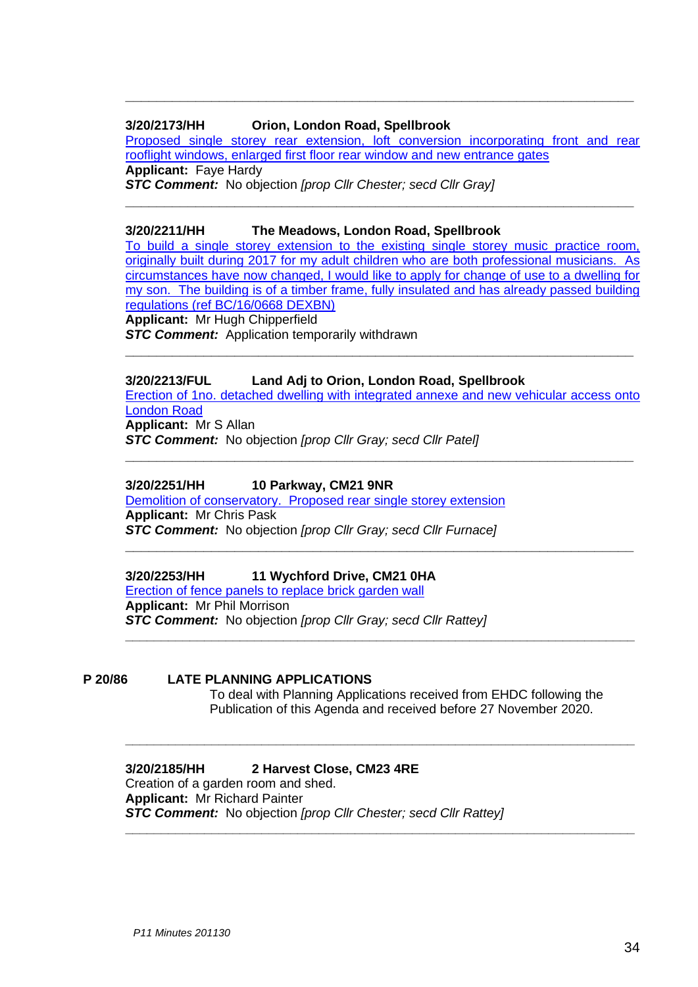### **3/20/2173/HH Orion, London Road, Spellbrook**

[Proposed single storey rear extension, loft conversion incorporating front and rear](https://publicaccess.eastherts.gov.uk/online-applications/applicationDetails.do?activeTab=documents&keyVal=QJBO14GLJAC00)  [rooflight windows, enlarged first floor rear window and new entrance gates](https://publicaccess.eastherts.gov.uk/online-applications/applicationDetails.do?activeTab=documents&keyVal=QJBO14GLJAC00) **Applicant:** Faye Hardy *STC Comment:* No objection *[prop Cllr Chester; secd Cllr Gray]*

**\_\_\_\_\_\_\_\_\_\_\_\_\_\_\_\_\_\_\_\_\_\_\_\_\_\_\_\_\_\_\_\_\_\_\_\_\_\_\_\_\_\_\_\_\_\_\_\_\_\_\_\_\_\_\_\_\_\_\_\_\_\_\_\_\_**

**\_\_\_\_\_\_\_\_\_\_\_\_\_\_\_\_\_\_\_\_\_\_\_\_\_\_\_\_\_\_\_\_\_\_\_\_\_\_\_\_\_\_\_\_\_\_\_\_\_\_\_\_\_\_\_\_\_\_\_\_\_\_\_\_\_**

### **3/20/2211/HH The Meadows, London Road, Spellbrook**

[To build a single storey extension to the existing single storey music practice](https://publicaccess.eastherts.gov.uk/online-applications/applicationDetails.do?activeTab=documents&keyVal=QJKMDWGLJCV00) room, [originally built during 2017 for my adult children who are both professional musicians. As](https://publicaccess.eastherts.gov.uk/online-applications/applicationDetails.do?activeTab=documents&keyVal=QJKMDWGLJCV00)  [circumstances have now changed, I would like to apply for change of use to a dwelling for](https://publicaccess.eastherts.gov.uk/online-applications/applicationDetails.do?activeTab=documents&keyVal=QJKMDWGLJCV00) [my son. The building is of a timber frame, fully insulated and has already passed building](https://publicaccess.eastherts.gov.uk/online-applications/applicationDetails.do?activeTab=documents&keyVal=QJKMDWGLJCV00)  regulations [\(ref BC/16/0668 DEXBN\)](https://publicaccess.eastherts.gov.uk/online-applications/applicationDetails.do?activeTab=documents&keyVal=QJKMDWGLJCV00) **Applicant:** Mr Hugh Chipperfield **STC Comment:** Application temporarily withdrawn

### **3/20/2213/FUL Land Adj to Orion, London Road, Spellbrook**

Erection [of 1no. detached dwelling with integrated annexe and new](https://publicaccess.eastherts.gov.uk/online-applications/applicationDetails.do?activeTab=documents&keyVal=QJKXF1GLJCY00) vehicular access onto [London Road](https://publicaccess.eastherts.gov.uk/online-applications/applicationDetails.do?activeTab=documents&keyVal=QJKXF1GLJCY00)

**\_\_\_\_\_\_\_\_\_\_\_\_\_\_\_\_\_\_\_\_\_\_\_\_\_\_\_\_\_\_\_\_\_\_\_\_\_\_\_\_\_\_\_\_\_\_\_\_\_\_\_\_\_\_\_\_\_\_\_\_\_\_\_\_\_**

**\_\_\_\_\_\_\_\_\_\_\_\_\_\_\_\_\_\_\_\_\_\_\_\_\_\_\_\_\_\_\_\_\_\_\_\_\_\_\_\_\_\_\_\_\_\_\_\_\_\_\_\_\_\_\_\_\_\_\_\_\_\_\_\_\_**

**\_\_\_\_\_\_\_\_\_\_\_\_\_\_\_\_\_\_\_\_\_\_\_\_\_\_\_\_\_\_\_\_\_\_\_\_\_\_\_\_\_\_\_\_\_\_\_\_\_\_\_\_\_\_\_\_\_\_\_\_\_\_\_\_\_\_\_\_\_\_\_**

**\_\_\_\_\_\_\_\_\_\_\_\_\_\_\_\_\_\_\_\_\_\_\_\_\_\_\_\_\_\_\_\_\_\_\_\_\_\_\_\_\_\_\_\_\_\_\_\_\_\_\_\_\_\_\_\_\_\_\_\_\_\_\_\_\_\_\_\_\_\_\_**

**\_\_\_\_\_\_\_\_\_\_\_\_\_\_\_\_\_\_\_\_\_\_\_\_\_\_\_\_\_\_\_\_\_\_\_\_\_\_\_\_\_\_\_\_\_\_\_\_\_\_\_\_\_\_\_\_\_\_\_\_\_\_\_\_\_\_\_\_\_\_\_**

**\_\_\_\_\_\_\_\_\_\_\_\_\_\_\_\_\_\_\_\_\_\_\_\_\_\_\_\_\_\_\_\_\_\_\_\_\_\_\_\_\_\_\_\_\_\_\_\_\_\_\_\_\_\_\_\_\_\_\_\_\_\_\_\_\_**

**Applicant:** Mr S Allan

*STC Comment:* No objection *[prop Cllr Gray; secd Cllr Patel]*

### **3/20/2251/HH 10 Parkway, CM21 9NR**

[Demolition of conservatory. Proposed rear single storey extension](https://publicaccess.eastherts.gov.uk/online-applications/applicationDetails.do?activeTab=documents&keyVal=QJQHFAGLJEW00) **Applicant:** Mr Chris Pask *STC Comment:* No objection *[prop Cllr Gray; secd Cllr Furnace]*

### **3/20/2253/HH 11 Wychford Drive, CM21 0HA**

[Erection of fence panels to replace brick garden wall](https://publicaccess.eastherts.gov.uk/online-applications/applicationDetails.do?activeTab=documents&keyVal=QJQSK7GLJF100) **Applicant:** Mr Phil Morrison *STC Comment:* No objection *[prop Cllr Gray; secd Cllr Rattey]*

### **P 20/86 LATE PLANNING APPLICATIONS**

To deal with Planning Applications received from EHDC following the Publication of this Agenda and received before 27 November 2020.

### **3/20/2185/HH 2 Harvest Close, CM23 4RE**

Creation of a garden room and shed. **Applicant:** Mr Richard Painter *STC Comment:* No objection *[prop Cllr Chester; secd Cllr Rattey]*